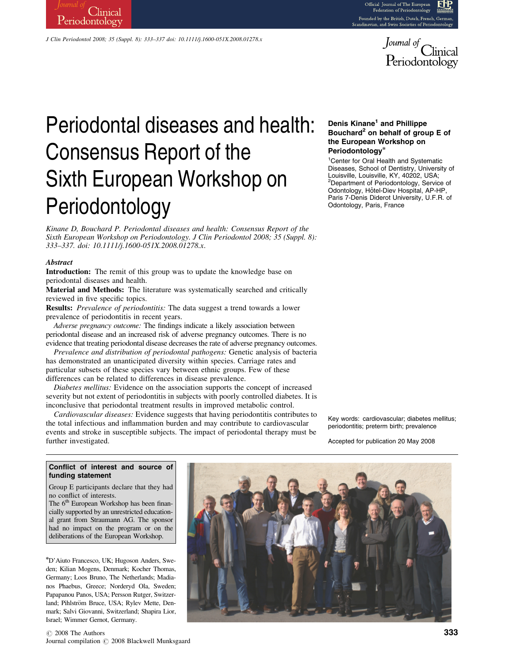

#### J Clin Periodontol 2008; 35 (Suppl. 8): 333–337 doi: 10.1111/j.1600-051X.2008.01278.x

*Clinical* 

Periodontology

# Periodontal diseases and health: Consensus Report of the Sixth European Workshop on Periodontology

Kinane D, Bouchard P. Periodontal diseases and health: Consensus Report of the Sixth European Workshop on Periodontology. J Clin Periodontol 2008; 35 (Suppl. 8): 333–337. doi: 10.1111/j.1600-051X.2008.01278.x.

## **Abstract**

Introduction: The remit of this group was to update the knowledge base on periodontal diseases and health.

Material and Methods: The literature was systematically searched and critically reviewed in five specific topics.

Results: Prevalence of periodontitis: The data suggest a trend towards a lower prevalence of periodontitis in recent years.

Adverse pregnancy outcome: The findings indicate a likely association between periodontal disease and an increased risk of adverse pregnancy outcomes. There is no evidence that treating periodontal disease decreases the rate of adverse pregnancy outcomes.

Prevalence and distribution of periodontal pathogens: Genetic analysis of bacteria has demonstrated an unanticipated diversity within species. Carriage rates and particular subsets of these species vary between ethnic groups. Few of these differences can be related to differences in disease prevalence.

Diabetes mellitus: Evidence on the association supports the concept of increased severity but not extent of periodontitis in subjects with poorly controlled diabetes. It is inconclusive that periodontal treatment results in improved metabolic control.

Cardiovascular diseases: Evidence suggests that having periodontitis contributes to the total infectious and inflammation burden and may contribute to cardiovascular events and stroke in susceptible subjects. The impact of periodontal therapy must be further investigated.

# Denis Kinane<sup>1</sup> and Phillippe Bouchard<sup>2</sup> on behalf of group E of the European Workshop on Periodontology\*

1 Center for Oral Health and Systematic Diseases, School of Dentistry, University of Louisville, Louisville, KY, 40202, USA; 2 Department of Periodontology, Service of Odontology, Hôtel-Diev Hospital, AP-HP, Paris 7-Denis Diderot University, U.F.R. of Odontology, Paris, France

Key words: cardiovascular; diabetes mellitus; periodontitis; preterm birth; prevalence

Accepted for publication 20 May 2008

## Conflict of interest and source of funding statement

Group E participants declare that they had no conflict of interests.

The 6<sup>th</sup> European Workshop has been financially supported by an unrestricted educational grant from Straumann AG. The sponsor had no impact on the program or on the deliberations of the European Workshop.

n D'Aiuto Francesco, UK; Hugoson Anders, Sweden; Kilian Mogens, Denmark; Kocher Thomas, Germany; Loos Bruno, The Netherlands; Madianos Phaebus, Greece; Norderyd Ola, Sweden; Papapanou Panos, USA; Persson Rutger, Switzerland; Pihlström Bruce, USA; Rylev Mette, Denmark; Salvi Giovanni, Switzerland; Shapira Lior, Israel; Wimmer Gernot, Germany.

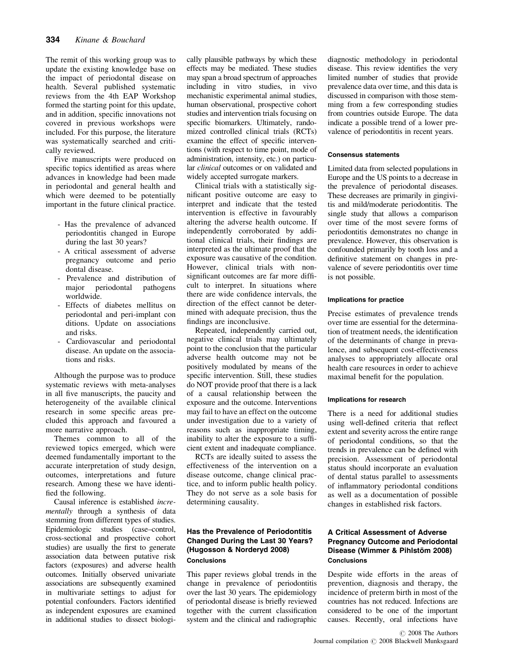The remit of this working group was to update the existing knowledge base on the impact of periodontal disease on health. Several published systematic reviews from the 4th EAP Workshop formed the starting point for this update, and in addition, specific innovations not covered in previous workshops were included. For this purpose, the literature was systematically searched and critically reviewed.

Five manuscripts were produced on specific topics identified as areas where advances in knowledge had been made in periodontal and general health and which were deemed to be potentially important in the future clinical practice.

- Has the prevalence of advanced periodontitis changed in Europe during the last 30 years?
- A critical assessment of adverse pregnancy outcome and perio dontal disease.
- Prevalence and distribution of major periodontal pathogens worldwide.
- Effects of diabetes mellitus on periodontal and peri-implant con ditions. Update on associations and risks.
- Cardiovascular and periodontal disease. An update on the associations and risks.

Although the purpose was to produce systematic reviews with meta-analyses in all five manuscripts, the paucity and heterogeneity of the available clinical research in some specific areas precluded this approach and favoured a more narrative approach.

Themes common to all of the reviewed topics emerged, which were deemed fundamentally important to the accurate interpretation of study design, outcomes, interpretations and future research. Among these we have identified the following.

Causal inference is established incrementally through a synthesis of data stemming from different types of studies. Epidemiologic studies (case–control, cross-sectional and prospective cohort studies) are usually the first to generate association data between putative risk factors (exposures) and adverse health outcomes. Initially observed univariate associations are subsequently examined in multivariate settings to adjust for potential confounders. Factors identified as independent exposures are examined in additional studies to dissect biologically plausible pathways by which these effects may be mediated. These studies may span a broad spectrum of approaches including in vitro studies, in vivo mechanistic experimental animal studies, human observational, prospective cohort studies and intervention trials focusing on specific biomarkers. Ultimately, randomized controlled clinical trials (RCTs) examine the effect of specific interventions (with respect to time point, mode of administration, intensity, etc.) on particular *clinical* outcomes or on validated and widely accepted surrogate markers.

Clinical trials with a statistically significant positive outcome are easy to interpret and indicate that the tested intervention is effective in favourably altering the adverse health outcome. If independently corroborated by additional clinical trials, their findings are interpreted as the ultimate proof that the exposure was causative of the condition. However, clinical trials with nonsignificant outcomes are far more difficult to interpret. In situations where there are wide confidence intervals, the direction of the effect cannot be determined with adequate precision, thus the findings are inconclusive.

Repeated, independently carried out, negative clinical trials may ultimately point to the conclusion that the particular adverse health outcome may not be positively modulated by means of the specific intervention. Still, these studies do NOT provide proof that there is a lack of a causal relationship between the exposure and the outcome. Interventions may fail to have an effect on the outcome under investigation due to a variety of reasons such as inappropriate timing, inability to alter the exposure to a sufficient extent and inadequate compliance.

RCTs are ideally suited to assess the effectiveness of the intervention on a disease outcome, change clinical practice, and to inform public health policy. They do not serve as a sole basis for determining causality.

# Has the Prevalence of Periodontitis Changed During the Last 30 Years? (Hugosson & Norderyd 2008) **Conclusions**

This paper reviews global trends in the change in prevalence of periodontitis over the last 30 years. The epidemiology of periodontal disease is briefly reviewed together with the current classification system and the clinical and radiographic

diagnostic methodology in periodontal disease. This review identifies the very limited number of studies that provide prevalence data over time, and this data is discussed in comparison with those stemming from a few corresponding studies from countries outside Europe. The data indicate a possible trend of a lower prevalence of periodontitis in recent years.

# Consensus statements

Limited data from selected populations in Europe and the US points to a decrease in the prevalence of periodontal diseases. These decreases are primarily in gingivitis and mild/moderate periodontitis. The single study that allows a comparison over time of the most severe forms of periodontitis demonstrates no change in prevalence. However, this observation is confounded primarily by tooth loss and a definitive statement on changes in prevalence of severe periodontitis over time is not possible.

# Implications for practice

Precise estimates of prevalence trends over time are essential for the determination of treatment needs, the identification of the determinants of change in prevalence, and subsequent cost-effectiveness analyses to appropriately allocate oral health care resources in order to achieve maximal benefit for the population.

# Implications for research

There is a need for additional studies using well-defined criteria that reflect extent and severity across the entire range of periodontal conditions, so that the trends in prevalence can be defined with precision. Assessment of periodontal status should incorporate an evaluation of dental status parallel to assessments of inflammatory periodontal conditions as well as a documentation of possible changes in established risk factors.

# A Critical Assessment of Adverse Pregnancy Outcome and Periodontal Disease (Wimmer & Pihlstöm 2008) **Conclusions**

Despite wide efforts in the areas of prevention, diagnosis and therapy, the incidence of preterm birth in most of the countries has not reduced. Infections are considered to be one of the important causes. Recently, oral infections have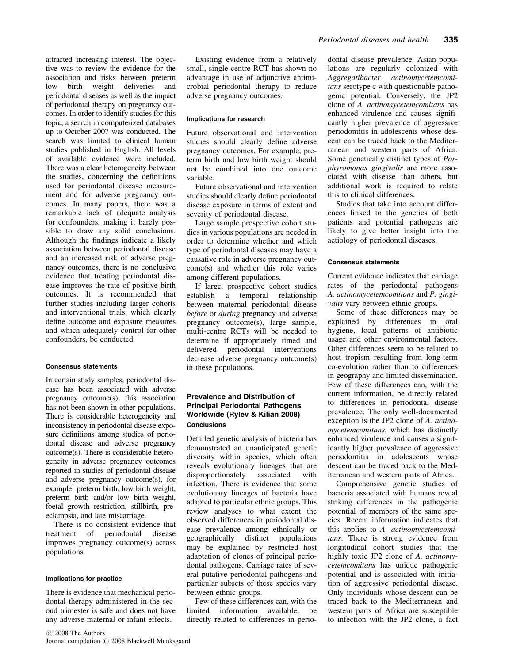attracted increasing interest. The objective was to review the evidence for the association and risks between preterm low birth weight deliveries and periodontal diseases as well as the impact of periodontal therapy on pregnancy outcomes. In order to identify studies for this topic, a search in computerized databases up to October 2007 was conducted. The search was limited to clinical human studies published in English. All levels of available evidence were included. There was a clear heterogeneity between the studies, concerning the definitions used for periodontal disease measurement and for adverse pregnancy outcomes. In many papers, there was a remarkable lack of adequate analysis for confounders, making it barely possible to draw any solid conclusions. Although the findings indicate a likely association between periodontal disease and an increased risk of adverse pregnancy outcomes, there is no conclusive evidence that treating periodontal disease improves the rate of positive birth outcomes. It is recommended that further studies including larger cohorts and interventional trials, which clearly define outcome and exposure measures and which adequately control for other confounders, be conducted.

## Consensus statements

In certain study samples, periodontal disease has been associated with adverse pregnancy outcome(s); this association has not been shown in other populations. There is considerable heterogeneity and inconsistency in periodontal disease exposure definitions among studies of periodontal disease and adverse pregnancy outcome(s). There is considerable heterogeneity in adverse pregnancy outcomes reported in studies of periodontal disease and adverse pregnancy outcome(s), for example: preterm birth, low birth weight, preterm birth and/or low birth weight, foetal growth restriction, stillbirth, preeclampsia, and late miscarriage.

There is no consistent evidence that treatment of periodontal disease improves pregnancy outcome(s) across populations.

#### Implications for practice

There is evidence that mechanical periodontal therapy administered in the second trimester is safe and does not have any adverse maternal or infant effects.

Existing evidence from a relatively small, single-centre RCT has shown no advantage in use of adjunctive antimicrobial periodontal therapy to reduce adverse pregnancy outcomes.

#### Implications for research

Future observational and intervention studies should clearly define adverse pregnancy outcomes. For example, preterm birth and low birth weight should not be combined into one outcome variable.

Future observational and intervention studies should clearly define periodontal disease exposure in terms of extent and severity of periodontal disease.

Large sample prospective cohort studies in various populations are needed in order to determine whether and which type of periodontal diseases may have a causative role in adverse pregnancy outcome(s) and whether this role varies among different populations.

If large, prospective cohort studies establish a temporal relationship between maternal periodontal disease before or during pregnancy and adverse pregnancy outcome(s), large sample, multi-centre RCTs will be needed to determine if appropriately timed and delivered periodontal interventions decrease adverse pregnancy outcome(s) in these populations.

## Prevalence and Distribution of Principal Periodontal Pathogens Worldwide (Rylev & Kilian 2008) **Conclusions**

Detailed genetic analysis of bacteria has demonstrated an unanticipated genetic diversity within species, which often reveals evolutionary lineages that are disproportionately associated with infection. There is evidence that some evolutionary lineages of bacteria have adapted to particular ethnic groups. This review analyses to what extent the observed differences in periodontal disease prevalence among ethnically or geographically distinct populations may be explained by restricted host adaptation of clones of principal periodontal pathogens. Carriage rates of several putative periodontal pathogens and particular subsets of these species vary between ethnic groups.

Few of these differences can, with the limited information available, be directly related to differences in periodontal disease prevalence. Asian populations are regularly colonized with Aggregatibacter actinomycetemcomitans serotype c with questionable pathogenic potential. Conversely, the JP2 clone of A. actinomycetemcomitans has enhanced virulence and causes significantly higher prevalence of aggressive periodontitis in adolescents whose descent can be traced back to the Mediterranean and western parts of Africa. Some genetically distinct types of Porphyromonas gingivalis are more associated with disease than others, but additional work is required to relate this to clinical differences.

Studies that take into account differences linked to the genetics of both patients and potential pathogens are likely to give better insight into the aetiology of periodontal diseases.

#### Consensus statements

Current evidence indicates that carriage rates of the periodontal pathogens A. actinomycetemcomitans and P. gingivalis vary between ethnic groups.

Some of these differences may be explained by differences in oral hygiene, local patterns of antibiotic usage and other environmental factors. Other differences seem to be related to host tropism resulting from long-term co-evolution rather than to differences in geography and limited dissemination. Few of these differences can, with the current information, be directly related to differences in periodontal disease prevalence. The only well-documented exception is the JP2 clone of A. actinomycetemcomitans, which has distinctly enhanced virulence and causes a significantly higher prevalence of aggressive periodontitis in adolescents whose descent can be traced back to the Mediterranean and western parts of Africa.

Comprehensive genetic studies of bacteria associated with humans reveal striking differences in the pathogenic potential of members of the same species. Recent information indicates that this applies to A. actinomycetemcomitans. There is strong evidence from longitudinal cohort studies that the highly toxic JP2 clone of A. actinomycetemcomitans has unique pathogenic potential and is associated with initiation of aggressive periodontal disease. Only individuals whose descent can be traced back to the Mediterranean and western parts of Africa are susceptible to infection with the JP2 clone, a fact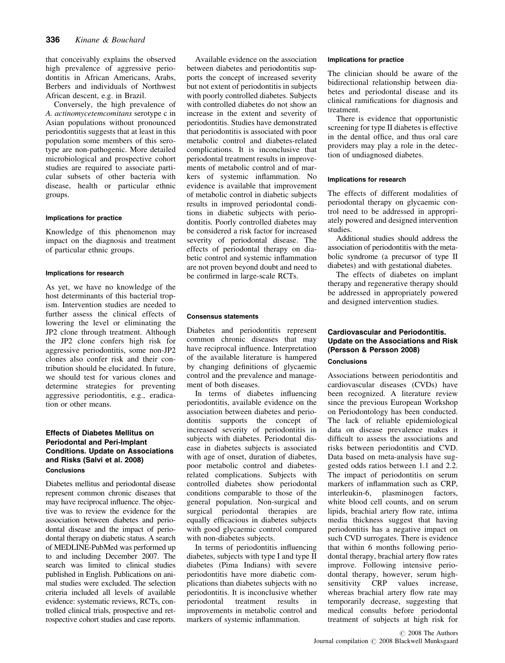that conceivably explains the observed high prevalence of aggressive periodontitis in African Americans, Arabs, Berbers and individuals of Northwest African descent, e.g. in Brazil.

Conversely, the high prevalence of A. actinomycetemcomitans serotype c in Asian populations without pronounced periodontitis suggests that at least in this population some members of this serotype are non-pathogenic. More detailed microbiological and prospective cohort studies are required to associate particular subsets of other bacteria with disease, health or particular ethnic groups.

## Implications for practice

Knowledge of this phenomenon may impact on the diagnosis and treatment of particular ethnic groups.

## Implications for research

As yet, we have no knowledge of the host determinants of this bacterial tropism. Intervention studies are needed to further assess the clinical effects of lowering the level or eliminating the JP2 clone through treatment. Although the JP2 clone confers high risk for aggressive periodontitis, some non-JP2 clones also confer risk and their contribution should be elucidated. In future, we should test for various clones and determine strategies for preventing aggressive periodontitis, e.g., eradication or other means.

## Effects of Diabetes Mellitus on Periodontal and Peri-Implant Conditions. Update on Associations and Risks (Salvi et al. 2008) **Conclusions**

Diabetes mellitus and periodontal disease represent common chronic diseases that may have reciprocal influence. The objective was to review the evidence for the association between diabetes and periodontal disease and the impact of periodontal therapy on diabetic status. A search of MEDLINE-PubMed was performed up to and including December 2007. The search was limited to clinical studies published in English. Publications on animal studies were excluded. The selection criteria included all levels of available evidence: systematic reviews, RCTs, controlled clinical trials, prospective and retrospective cohort studies and case reports.

Available evidence on the association between diabetes and periodontitis supports the concept of increased severity but not extent of periodontitis in subjects with poorly controlled diabetes. Subjects with controlled diabetes do not show an increase in the extent and severity of periodontitis. Studies have demonstrated that periodontitis is associated with poor metabolic control and diabetes-related complications. It is inconclusive that periodontal treatment results in improvements of metabolic control and of markers of systemic inflammation. No evidence is available that improvement of metabolic control in diabetic subjects results in improved periodontal conditions in diabetic subjects with periodontitis. Poorly controlled diabetes may be considered a risk factor for increased severity of periodontal disease. The effects of periodontal therapy on diabetic control and systemic inflammation are not proven beyond doubt and need to be confirmed in large-scale RCTs.

## Consensus statements

Diabetes and periodontitis represent common chronic diseases that may have reciprocal influence. Interpretation of the available literature is hampered by changing definitions of glycaemic control and the prevalence and management of both diseases.

In terms of diabetes influencing periodontitis, available evidence on the association between diabetes and periodontitis supports the concept of increased severity of periodontitis in subjects with diabetes. Periodontal disease in diabetes subjects is associated with age of onset, duration of diabetes, poor metabolic control and diabetesrelated complications. Subjects with controlled diabetes show periodontal conditions comparable to those of the general population. Non-surgical and surgical periodontal therapies are equally efficacious in diabetes subjects with good glycaemic control compared with non-diabetes subjects.

In terms of periodontitis influencing diabetes, subjects with type I and type II diabetes (Pima Indians) with severe periodontitis have more diabetic complications than diabetes subjects with no periodontitis. It is inconclusive whether periodontal treatment results in improvements in metabolic control and markers of systemic inflammation.

### Implications for practice

The clinician should be aware of the bidirectional relationship between diabetes and periodontal disease and its clinical ramifications for diagnosis and treatment.

There is evidence that opportunistic screening for type II diabetes is effective in the dental office, and thus oral care providers may play a role in the detection of undiagnosed diabetes.

## Implications for research

The effects of different modalities of periodontal therapy on glycaemic control need to be addressed in appropriately powered and designed intervention studies.

Additional studies should address the association of periodontitis with the metabolic syndrome (a precursor of type II diabetes) and with gestational diabetes.

The effects of diabetes on implant therapy and regenerative therapy should be addressed in appropriately powered and designed intervention studies.

# Cardiovascular and Periodontitis. Update on the Associations and Risk (Persson & Persson 2008)

#### **Conclusions**

Associations between periodontitis and cardiovascular diseases (CVDs) have been recognized. A literature review since the previous European Workshop on Periodontology has been conducted. The lack of reliable epidemiological data on disease prevalence makes it difficult to assess the associations and risks between periodontitis and CVD. Data based on meta-analysis have suggested odds ratios between 1.1 and 2.2. The impact of periodontitis on serum markers of inflammation such as CRP, interleukin-6, plasminogen factors, white blood cell counts, and on serum lipids, brachial artery flow rate, intima media thickness suggest that having periodontitis has a negative impact on such CVD surrogates. There is evidence that within 6 months following periodontal therapy, brachial artery flow rates improve. Following intensive periodontal therapy, however, serum highsensitivity CRP values increase, whereas brachial artery flow rate may temporarily decrease, suggesting that medical consults before periodontal treatment of subjects at high risk for